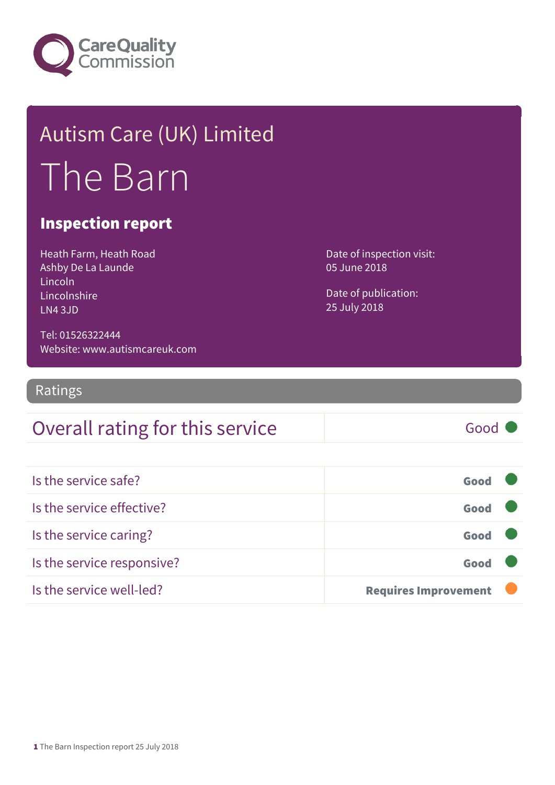

# Autism Care (UK) Limited The Barn

#### Inspection report

Heath Farm, Heath Road Ashby De La Launde Lincoln Lincolnshire LN4 3JD

Tel: 01526322444 Website: www.autismcareuk.com Date of inspection visit: 05 June 2018

Date of publication: 25 July 2018

Ratings

#### Overall rating for this service Fig. 6000

Is the service safe? Good Is the service effective? Good Is the service caring? Good Is the service responsive? The service responsive? Is the service well-led? **Requires Improvement**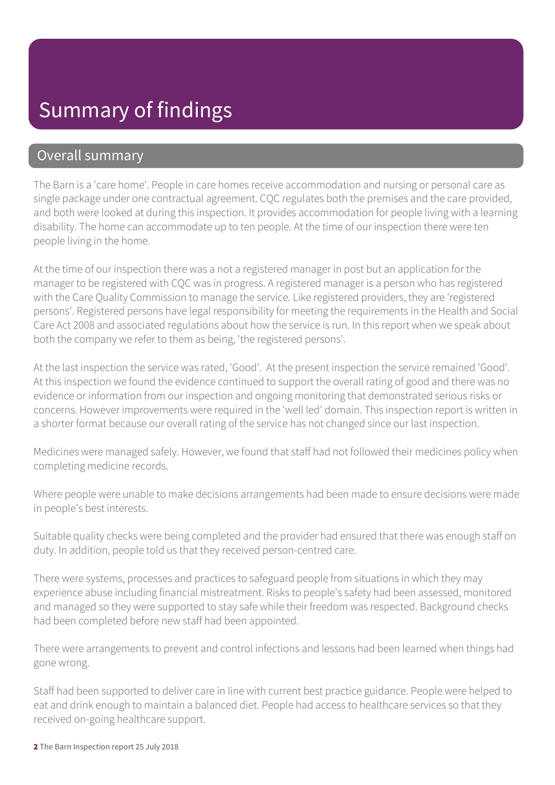#### Summary of findings

#### Overall summary

The Barn is a 'care home'. People in care homes receive accommodation and nursing or personal care as single package under one contractual agreement. CQC regulates both the premises and the care provided, and both were looked at during this inspection. It provides accommodation for people living with a learning disability. The home can accommodate up to ten people. At the time of our inspection there were ten people living in the home.

At the time of our inspection there was a not a registered manager in post but an application for the manager to be registered with CQC was in progress. A registered manager is a person who has registered with the Care Quality Commission to manage the service. Like registered providers, they are 'registered persons'. Registered persons have legal responsibility for meeting the requirements in the Health and Social Care Act 2008 and associated regulations about how the service is run. In this report when we speak about both the company we refer to them as being, 'the registered persons'.

At the last inspection the service was rated, 'Good'. At the present inspection the service remained 'Good'. At this inspection we found the evidence continued to support the overall rating of good and there was no evidence or information from our inspection and ongoing monitoring that demonstrated serious risks or concerns. However improvements were required in the 'well led' domain. This inspection report is written in a shorter format because our overall rating of the service has not changed since our last inspection.

Medicines were managed safely. However, we found that staff had not followed their medicines policy when completing medicine records.

Where people were unable to make decisions arrangements had been made to ensure decisions were made in people's best interests.

Suitable quality checks were being completed and the provider had ensured that there was enough staff on duty. In addition, people told us that they received person-centred care.

There were systems, processes and practices to safeguard people from situations in which they may experience abuse including financial mistreatment. Risks to people's safety had been assessed, monitored and managed so they were supported to stay safe while their freedom was respected. Background checks had been completed before new staff had been appointed.

There were arrangements to prevent and control infections and lessons had been learned when things had gone wrong.

Staff had been supported to deliver care in line with current best practice guidance. People were helped to eat and drink enough to maintain a balanced diet. People had access to healthcare services so that they received on-going healthcare support.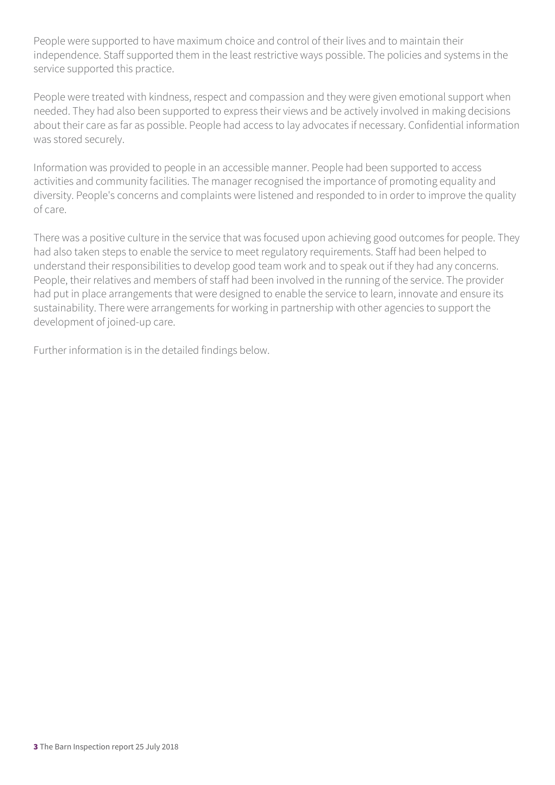People were supported to have maximum choice and control of their lives and to maintain their independence. Staff supported them in the least restrictive ways possible. The policies and systems in the service supported this practice.

People were treated with kindness, respect and compassion and they were given emotional support when needed. They had also been supported to express their views and be actively involved in making decisions about their care as far as possible. People had access to lay advocates if necessary. Confidential information was stored securely.

Information was provided to people in an accessible manner. People had been supported to access activities and community facilities. The manager recognised the importance of promoting equality and diversity. People's concerns and complaints were listened and responded to in order to improve the quality of care.

There was a positive culture in the service that was focused upon achieving good outcomes for people. They had also taken steps to enable the service to meet regulatory requirements. Staff had been helped to understand their responsibilities to develop good team work and to speak out if they had any concerns. People, their relatives and members of staff had been involved in the running of the service. The provider had put in place arrangements that were designed to enable the service to learn, innovate and ensure its sustainability. There were arrangements for working in partnership with other agencies to support the development of joined-up care.

Further information is in the detailed findings below.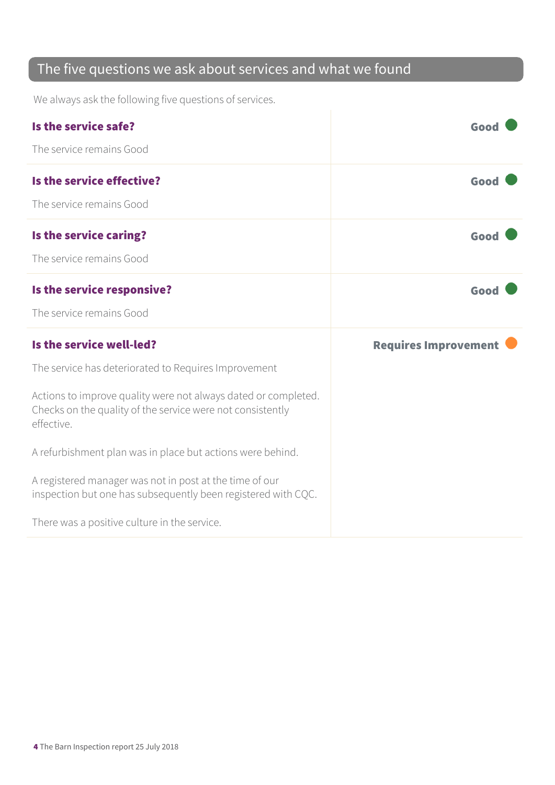#### The five questions we ask about services and what we found

We always ask the following five questions of services.

| Is the service safe?<br>The service remains Good                                                                                                                                                   | Good                        |
|----------------------------------------------------------------------------------------------------------------------------------------------------------------------------------------------------|-----------------------------|
| Is the service effective?<br>The service remains Good                                                                                                                                              | Good                        |
| Is the service caring?<br>The service remains Good                                                                                                                                                 | Good                        |
| Is the service responsive?<br>The service remains Good                                                                                                                                             | Good                        |
|                                                                                                                                                                                                    |                             |
| Is the service well-led?                                                                                                                                                                           | <b>Requires Improvement</b> |
| The service has deteriorated to Requires Improvement<br>Actions to improve quality were not always dated or completed.<br>Checks on the quality of the service were not consistently<br>effective. |                             |
| A refurbishment plan was in place but actions were behind.                                                                                                                                         |                             |
| A registered manager was not in post at the time of our<br>inspection but one has subsequently been registered with CQC.                                                                           |                             |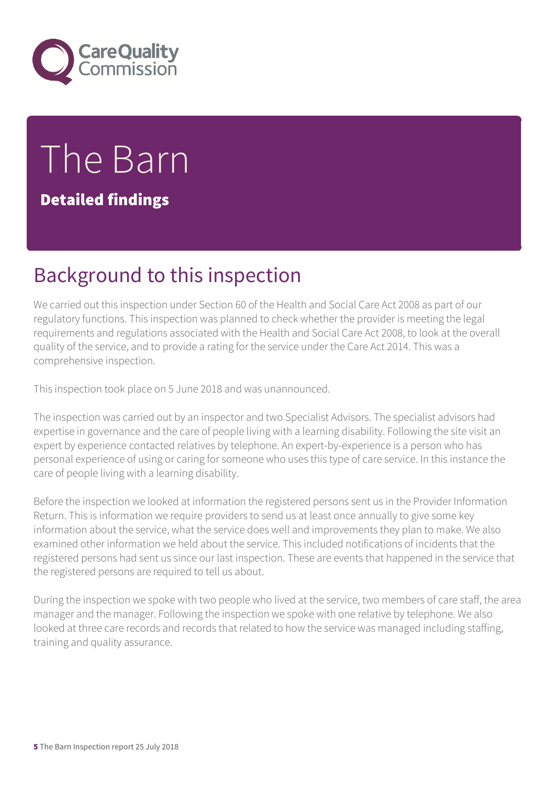

# The Barn

Detailed findings

#### Background to this inspection

We carried out this inspection under Section 60 of the Health and Social Care Act 2008 as part of our regulatory functions. This inspection was planned to check whether the provider is meeting the legal requirements and regulations associated with the Health and Social Care Act 2008, to look at the overall quality of the service, and to provide a rating for the service under the Care Act 2014. This was a comprehensive inspection.

This inspection took place on 5 June 2018 and was unannounced.

The inspection was carried out by an inspector and two Specialist Advisors. The specialist advisors had expertise in governance and the care of people living with a learning disability. Following the site visit an expert by experience contacted relatives by telephone. An expert-by-experience is a person who has personal experience of using or caring for someone who uses this type of care service. In this instance the care of people living with a learning disability.

Before the inspection we looked at information the registered persons sent us in the Provider Information Return. This is information we require providers to send us at least once annually to give some key information about the service, what the service does well and improvements they plan to make. We also examined other information we held about the service. This included notifications of incidents that the registered persons had sent us since our last inspection. These are events that happened in the service that the registered persons are required to tell us about.

During the inspection we spoke with two people who lived at the service, two members of care staff, the area manager and the manager. Following the inspection we spoke with one relative by telephone. We also looked at three care records and records that related to how the service was managed including staffing, training and quality assurance.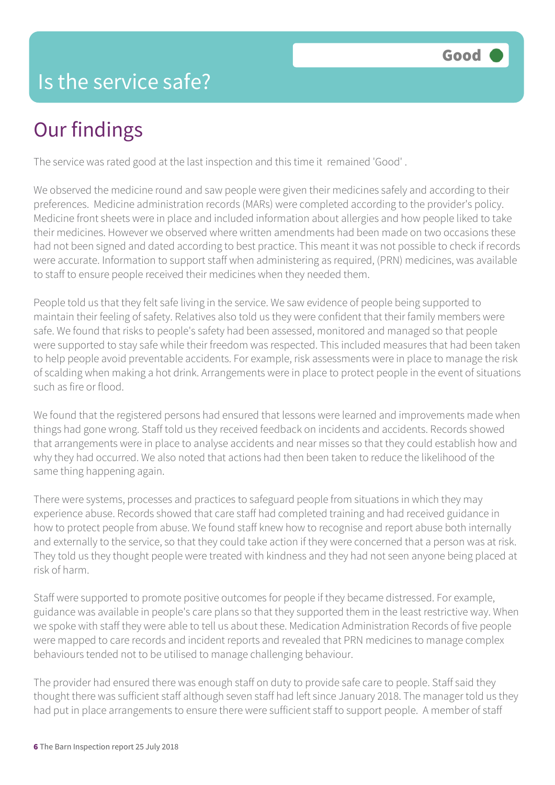#### Is the service safe?

# Our findings

The service was rated good at the last inspection and this time it remained 'Good' .

We observed the medicine round and saw people were given their medicines safely and according to their preferences. Medicine administration records (MARs) were completed according to the provider's policy. Medicine front sheets were in place and included information about allergies and how people liked to take their medicines. However we observed where written amendments had been made on two occasions these had not been signed and dated according to best practice. This meant it was not possible to check if records were accurate. Information to support staff when administering as required, (PRN) medicines, was available to staff to ensure people received their medicines when they needed them.

People told us that they felt safe living in the service. We saw evidence of people being supported to maintain their feeling of safety. Relatives also told us they were confident that their family members were safe. We found that risks to people's safety had been assessed, monitored and managed so that people were supported to stay safe while their freedom was respected. This included measures that had been taken to help people avoid preventable accidents. For example, risk assessments were in place to manage the risk of scalding when making a hot drink. Arrangements were in place to protect people in the event of situations such as fire or flood.

We found that the registered persons had ensured that lessons were learned and improvements made when things had gone wrong. Staff told us they received feedback on incidents and accidents. Records showed that arrangements were in place to analyse accidents and near misses so that they could establish how and why they had occurred. We also noted that actions had then been taken to reduce the likelihood of the same thing happening again.

There were systems, processes and practices to safeguard people from situations in which they may experience abuse. Records showed that care staff had completed training and had received guidance in how to protect people from abuse. We found staff knew how to recognise and report abuse both internally and externally to the service, so that they could take action if they were concerned that a person was at risk. They told us they thought people were treated with kindness and they had not seen anyone being placed at risk of harm.

Staff were supported to promote positive outcomes for people if they became distressed. For example, guidance was available in people's care plans so that they supported them in the least restrictive way. When we spoke with staff they were able to tell us about these. Medication Administration Records of five people were mapped to care records and incident reports and revealed that PRN medicines to manage complex behaviours tended not to be utilised to manage challenging behaviour.

The provider had ensured there was enough staff on duty to provide safe care to people. Staff said they thought there was sufficient staff although seven staff had left since January 2018. The manager told us they had put in place arrangements to ensure there were sufficient staff to support people. A member of staff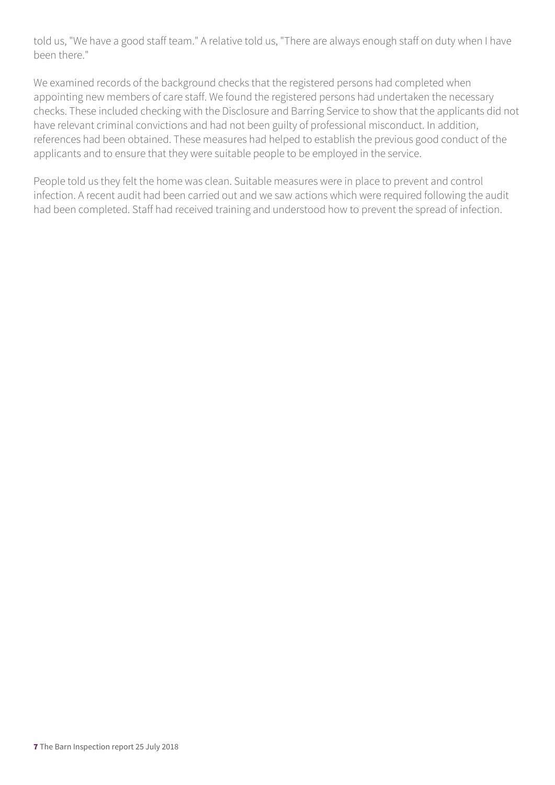told us, "We have a good staff team." A relative told us, "There are always enough staff on duty when I have been there."

We examined records of the background checks that the registered persons had completed when appointing new members of care staff. We found the registered persons had undertaken the necessary checks. These included checking with the Disclosure and Barring Service to show that the applicants did not have relevant criminal convictions and had not been guilty of professional misconduct. In addition, references had been obtained. These measures had helped to establish the previous good conduct of the applicants and to ensure that they were suitable people to be employed in the service.

People told us they felt the home was clean. Suitable measures were in place to prevent and control infection. A recent audit had been carried out and we saw actions which were required following the audit had been completed. Staff had received training and understood how to prevent the spread of infection.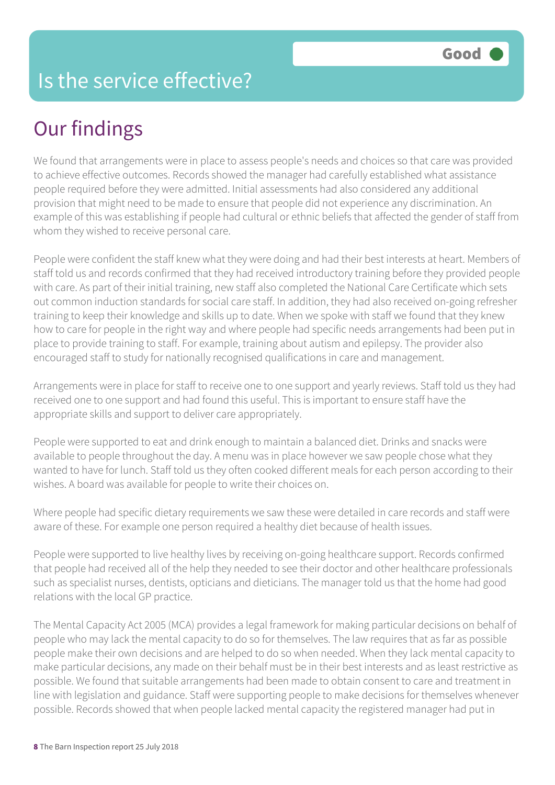#### Is the service effective?

# Our findings

We found that arrangements were in place to assess people's needs and choices so that care was provided to achieve effective outcomes. Records showed the manager had carefully established what assistance people required before they were admitted. Initial assessments had also considered any additional provision that might need to be made to ensure that people did not experience any discrimination. An example of this was establishing if people had cultural or ethnic beliefs that affected the gender of staff from whom they wished to receive personal care.

People were confident the staff knew what they were doing and had their best interests at heart. Members of staff told us and records confirmed that they had received introductory training before they provided people with care. As part of their initial training, new staff also completed the National Care Certificate which sets out common induction standards for social care staff. In addition, they had also received on-going refresher training to keep their knowledge and skills up to date. When we spoke with staff we found that they knew how to care for people in the right way and where people had specific needs arrangements had been put in place to provide training to staff. For example, training about autism and epilepsy. The provider also encouraged staff to study for nationally recognised qualifications in care and management.

Arrangements were in place for staff to receive one to one support and yearly reviews. Staff told us they had received one to one support and had found this useful. This is important to ensure staff have the appropriate skills and support to deliver care appropriately.

People were supported to eat and drink enough to maintain a balanced diet. Drinks and snacks were available to people throughout the day. A menu was in place however we saw people chose what they wanted to have for lunch. Staff told us they often cooked different meals for each person according to their wishes. A board was available for people to write their choices on.

Where people had specific dietary requirements we saw these were detailed in care records and staff were aware of these. For example one person required a healthy diet because of health issues.

People were supported to live healthy lives by receiving on-going healthcare support. Records confirmed that people had received all of the help they needed to see their doctor and other healthcare professionals such as specialist nurses, dentists, opticians and dieticians. The manager told us that the home had good relations with the local GP practice.

The Mental Capacity Act 2005 (MCA) provides a legal framework for making particular decisions on behalf of people who may lack the mental capacity to do so for themselves. The law requires that as far as possible people make their own decisions and are helped to do so when needed. When they lack mental capacity to make particular decisions, any made on their behalf must be in their best interests and as least restrictive as possible. We found that suitable arrangements had been made to obtain consent to care and treatment in line with legislation and guidance. Staff were supporting people to make decisions for themselves whenever possible. Records showed that when people lacked mental capacity the registered manager had put in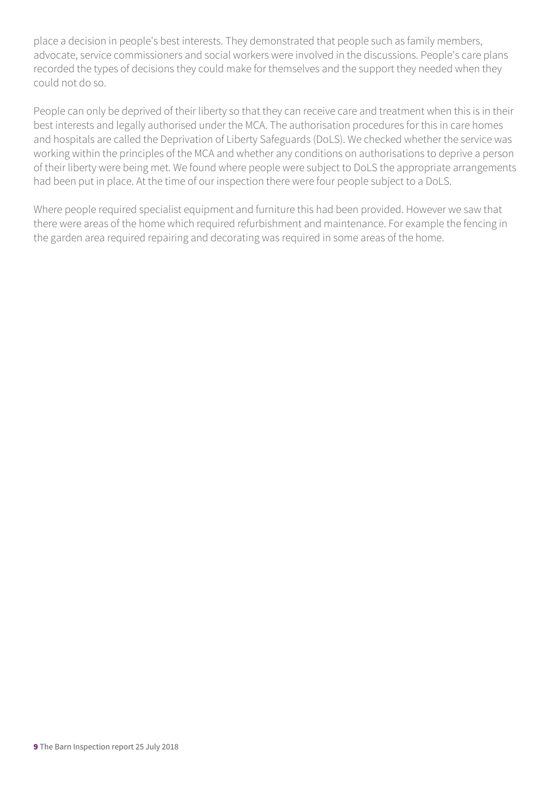place a decision in people's best interests. They demonstrated that people such as family members, advocate, service commissioners and social workers were involved in the discussions. People's care plans recorded the types of decisions they could make for themselves and the support they needed when they could not do so.

People can only be deprived of their liberty so that they can receive care and treatment when this is in their best interests and legally authorised under the MCA. The authorisation procedures for this in care homes and hospitals are called the Deprivation of Liberty Safeguards (DoLS). We checked whether the service was working within the principles of the MCA and whether any conditions on authorisations to deprive a person of their liberty were being met. We found where people were subject to DoLS the appropriate arrangements had been put in place. At the time of our inspection there were four people subject to a DoLS.

Where people required specialist equipment and furniture this had been provided. However we saw that there were areas of the home which required refurbishment and maintenance. For example the fencing in the garden area required repairing and decorating was required in some areas of the home.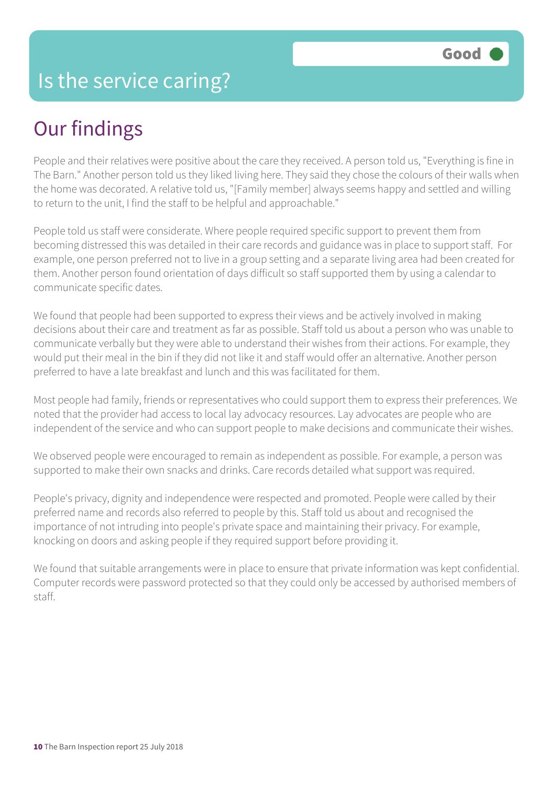#### Our findings

People and their relatives were positive about the care they received. A person told us, "Everything is fine in The Barn." Another person told us they liked living here. They said they chose the colours of their walls when the home was decorated. A relative told us, "[Family member] always seems happy and settled and willing to return to the unit, I find the staff to be helpful and approachable."

People told us staff were considerate. Where people required specific support to prevent them from becoming distressed this was detailed in their care records and guidance was in place to support staff. For example, one person preferred not to live in a group setting and a separate living area had been created for them. Another person found orientation of days difficult so staff supported them by using a calendar to communicate specific dates.

We found that people had been supported to express their views and be actively involved in making decisions about their care and treatment as far as possible. Staff told us about a person who was unable to communicate verbally but they were able to understand their wishes from their actions. For example, they would put their meal in the bin if they did not like it and staff would offer an alternative. Another person preferred to have a late breakfast and lunch and this was facilitated for them.

Most people had family, friends or representatives who could support them to express their preferences. We noted that the provider had access to local lay advocacy resources. Lay advocates are people who are independent of the service and who can support people to make decisions and communicate their wishes.

We observed people were encouraged to remain as independent as possible. For example, a person was supported to make their own snacks and drinks. Care records detailed what support was required.

People's privacy, dignity and independence were respected and promoted. People were called by their preferred name and records also referred to people by this. Staff told us about and recognised the importance of not intruding into people's private space and maintaining their privacy. For example, knocking on doors and asking people if they required support before providing it.

We found that suitable arrangements were in place to ensure that private information was kept confidential. Computer records were password protected so that they could only be accessed by authorised members of staff.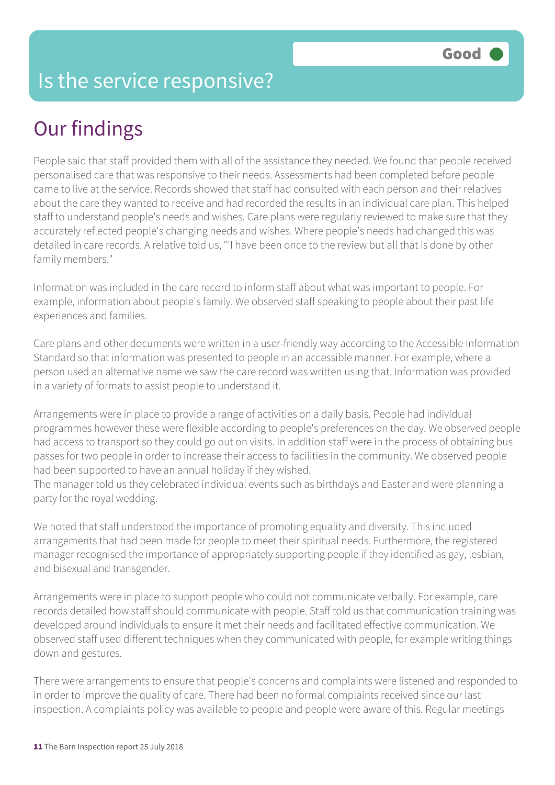## Our findings

People said that staff provided them with all of the assistance they needed. We found that people received personalised care that was responsive to their needs. Assessments had been completed before people came to live at the service. Records showed that staff had consulted with each person and their relatives about the care they wanted to receive and had recorded the results in an individual care plan. This helped staff to understand people's needs and wishes. Care plans were regularly reviewed to make sure that they accurately reflected people's changing needs and wishes. Where people's needs had changed this was detailed in care records. A relative told us, "'I have been once to the review but all that is done by other family members."

Information was included in the care record to inform staff about what was important to people. For example, information about people's family. We observed staff speaking to people about their past life experiences and families.

Care plans and other documents were written in a user-friendly way according to the Accessible Information Standard so that information was presented to people in an accessible manner. For example, where a person used an alternative name we saw the care record was written using that. Information was provided in a variety of formats to assist people to understand it.

Arrangements were in place to provide a range of activities on a daily basis. People had individual programmes however these were flexible according to people's preferences on the day. We observed people had access to transport so they could go out on visits. In addition staff were in the process of obtaining bus passes for two people in order to increase their access to facilities in the community. We observed people had been supported to have an annual holiday if they wished.

The manager told us they celebrated individual events such as birthdays and Easter and were planning a party for the royal wedding.

We noted that staff understood the importance of promoting equality and diversity. This included arrangements that had been made for people to meet their spiritual needs. Furthermore, the registered manager recognised the importance of appropriately supporting people if they identified as gay, lesbian, and bisexual and transgender.

Arrangements were in place to support people who could not communicate verbally. For example, care records detailed how staff should communicate with people. Staff told us that communication training was developed around individuals to ensure it met their needs and facilitated effective communication. We observed staff used different techniques when they communicated with people, for example writing things down and gestures.

There were arrangements to ensure that people's concerns and complaints were listened and responded to in order to improve the quality of care. There had been no formal complaints received since our last inspection. A complaints policy was available to people and people were aware of this. Regular meetings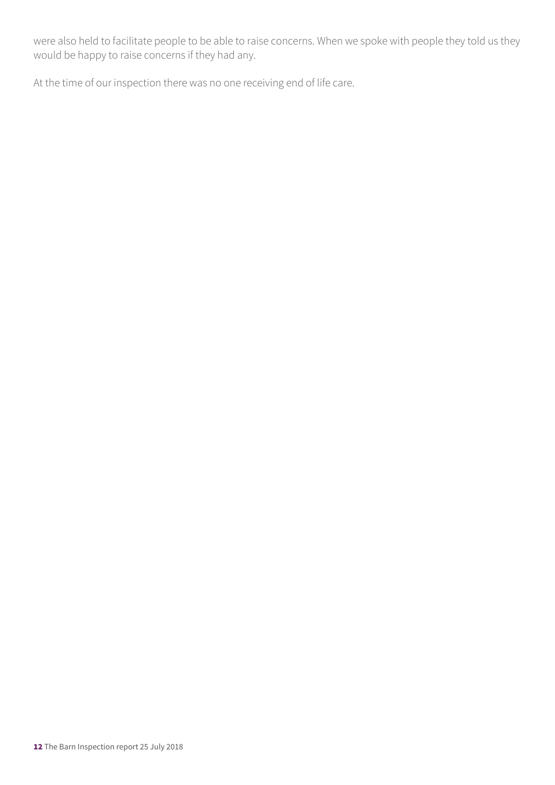were also held to facilitate people to be able to raise concerns. When we spoke with people they told us they would be happy to raise concerns if they had any.

At the time of our inspection there was no one receiving end of life care.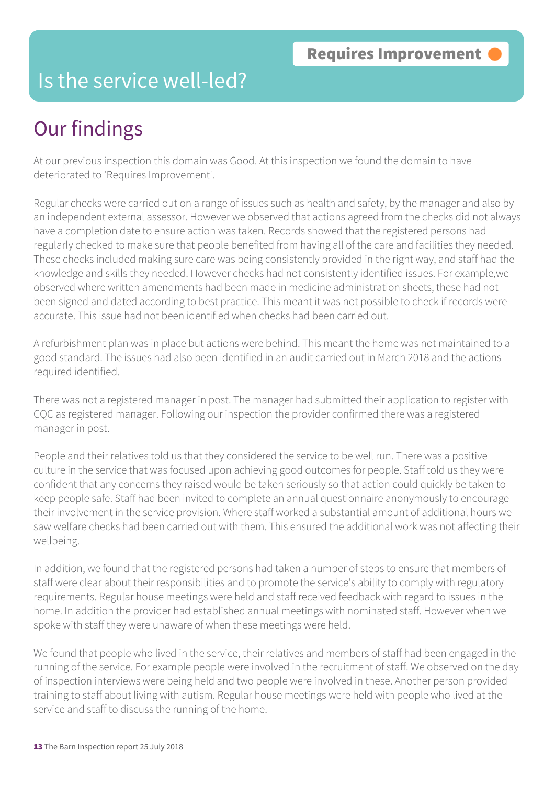#### Is the service well-led?

# Our findings

At our previous inspection this domain was Good. At this inspection we found the domain to have deteriorated to 'Requires Improvement'.

Regular checks were carried out on a range of issues such as health and safety, by the manager and also by an independent external assessor. However we observed that actions agreed from the checks did not always have a completion date to ensure action was taken. Records showed that the registered persons had regularly checked to make sure that people benefited from having all of the care and facilities they needed. These checks included making sure care was being consistently provided in the right way, and staff had the knowledge and skills they needed. However checks had not consistently identified issues. For example,we observed where written amendments had been made in medicine administration sheets, these had not been signed and dated according to best practice. This meant it was not possible to check if records were accurate. This issue had not been identified when checks had been carried out.

A refurbishment plan was in place but actions were behind. This meant the home was not maintained to a good standard. The issues had also been identified in an audit carried out in March 2018 and the actions required identified.

There was not a registered manager in post. The manager had submitted their application to register with CQC as registered manager. Following our inspection the provider confirmed there was a registered manager in post.

People and their relatives told us that they considered the service to be well run. There was a positive culture in the service that was focused upon achieving good outcomes for people. Staff told us they were confident that any concerns they raised would be taken seriously so that action could quickly be taken to keep people safe. Staff had been invited to complete an annual questionnaire anonymously to encourage their involvement in the service provision. Where staff worked a substantial amount of additional hours we saw welfare checks had been carried out with them. This ensured the additional work was not affecting their wellbeing.

In addition, we found that the registered persons had taken a number of steps to ensure that members of staff were clear about their responsibilities and to promote the service's ability to comply with regulatory requirements. Regular house meetings were held and staff received feedback with regard to issues in the home. In addition the provider had established annual meetings with nominated staff. However when we spoke with staff they were unaware of when these meetings were held.

We found that people who lived in the service, their relatives and members of staff had been engaged in the running of the service. For example people were involved in the recruitment of staff. We observed on the day of inspection interviews were being held and two people were involved in these. Another person provided training to staff about living with autism. Regular house meetings were held with people who lived at the service and staff to discuss the running of the home.